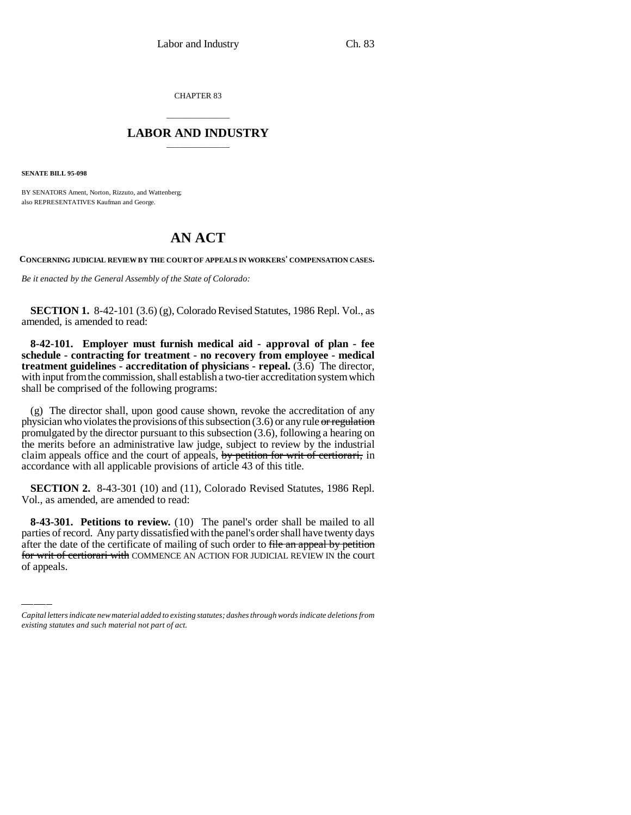CHAPTER 83

## \_\_\_\_\_\_\_\_\_\_\_\_\_\_\_ **LABOR AND INDUSTRY** \_\_\_\_\_\_\_\_\_\_\_\_\_\_\_

**SENATE BILL 95-098**

BY SENATORS Ament, Norton, Rizzuto, and Wattenberg; also REPRESENTATIVES Kaufman and George.

## **AN ACT**

**CONCERNING JUDICIAL REVIEW BY THE COURT OF APPEALS IN WORKERS' COMPENSATION CASES.**

*Be it enacted by the General Assembly of the State of Colorado:*

**SECTION 1.** 8-42-101 (3.6) (g), Colorado Revised Statutes, 1986 Repl. Vol., as amended, is amended to read:

**8-42-101. Employer must furnish medical aid - approval of plan - fee schedule - contracting for treatment - no recovery from employee - medical treatment guidelines - accreditation of physicians - repeal.** (3.6) The director, with input from the commission, shall establish a two-tier accreditation system which shall be comprised of the following programs:

(g) The director shall, upon good cause shown, revoke the accreditation of any physician who violates the provisions of this subsection  $(3.6)$  or any rule or regulation promulgated by the director pursuant to this subsection (3.6), following a hearing on the merits before an administrative law judge, subject to review by the industrial claim appeals office and the court of appeals, by petition for writ of certiorari, in accordance with all applicable provisions of article 43 of this title.

**SECTION 2.** 8-43-301 (10) and (11), Colorado Revised Statutes, 1986 Repl. Vol., as amended, are amended to read:

**b**-45-501. Petitions to review. (10) The panel's order shall be malled to all parties of record. Any party dissatisfied with the panel's order shall have twenty days **8-43-301. Petitions to review.** (10) The panel's order shall be mailed to all after the date of the certificate of mailing of such order to file an appeal by petition for writ of certiorari with COMMENCE AN ACTION FOR JUDICIAL REVIEW IN the court of appeals.

*Capital letters indicate new material added to existing statutes; dashes through words indicate deletions from existing statutes and such material not part of act.*